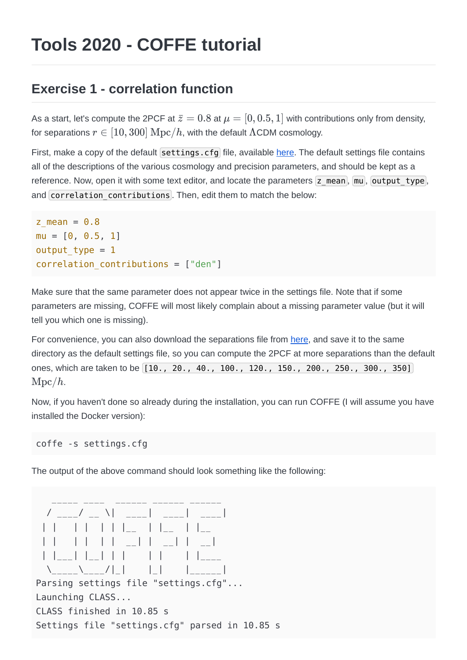## **Tools 2020 - COFFE tutorial**

## **Exercise 1 - correlation function**

As a start, let's compute the 2PCF at  $\bar z = 0.8$  at  $\mu = [0, 0.5, 1]$  with contributions only from density, for separations  $r\in[10,300]\ {\rm Mpc}/h$ , with the default  $\Lambda$ CDM cosmology.

First, make a copy of the default settings.cfg file, available [here](https://github.com/JCGoran/coffe/blob/future/settings.cfg). The default settings file contains all of the descriptions of the various cosmology and precision parameters, and should be kept as a reference. Now, open it with some text editor, and locate the parameters  $\overline{z}$  mean,  $\overline{mu}$ , output type, and correlation contributions. Then, edit them to match the below:

```
z mean = 0.8mu = [0, 0.5, 1]output type = 1correlation contributions = ['den"]
```
Make sure that the same parameter does not appear twice in the settings file. Note that if some parameters are missing, COFFE will most likely complain about a missing parameter value (but it will tell you which one is missing).

For convenience, you can also download the separations file from [here](https://github.com/JCGoran/coffe/blob/future/separations.dat), and save it to the same directory as the default settings file, so you can compute the 2PCF at more separations than the default ones, which are taken to be [10., 20., 40., 100., 120., 150., 200., 250., 300., 350] . Mpc/*h*

Now, if you haven't done so already during the installation, you can run COFFE (I will assume you have installed the Docker version):

coffe -s settings.cfg

The output of the above command should look something like the following:

```
\frac{1}{2} , \frac{1}{2} , \frac{1}{2} , \frac{1}{2} , \frac{1}{2} , \frac{1}{2} , \frac{1}{2} , \frac{1}{2} , \frac{1}{2} , \frac{1}{2} , \frac{1}{2} , \frac{1}{2} , \frac{1}{2} , \frac{1}{2} , \frac{1}{2} , \frac{1}{2} , \frac{1}{2} , \frac{1}{2} , \frac{1 / ____/ __ \| ____| ____| ____|
     | | | | | | |__ | |__ | |__ 
   | | | | | | __| | __| | __| 
    | \_ \_ \ | \_ \_ \\setminus \setminus \setminus \setminus \setminus \setminus \setminus \setminusParsing settings file "settings.cfg"...
Launching CLASS...
CLASS finished in 10.85 s
Settings file "settings.cfg" parsed in 10.85 s
```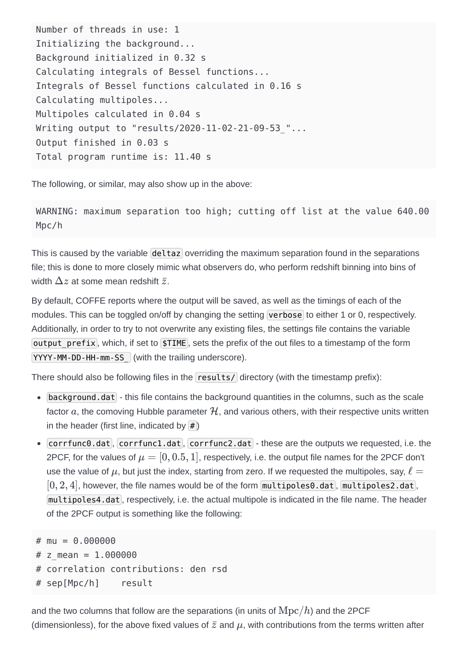Number of threads in use: 1 Initializing the background... Background initialized in 0.32 s Calculating integrals of Bessel functions... Integrals of Bessel functions calculated in 0.16 s Calculating multipoles... Multipoles calculated in 0.04 s Writing output to "results/2020-11-02-21-09-53 "... Output finished in 0.03 s Total program runtime is: 11.40 s

The following, or similar, may also show up in the above:

WARNING: maximum separation too high; cutting off list at the value 640.00 Mpc/h

This is caused by the variable deltaz overriding the maximum separation found in the separations file; this is done to more closely mimic what observers do, who perform redshift binning into bins of width  $\Delta z$  at some mean redshift  $\bar{z}.$ 

By default, COFFE reports where the output will be saved, as well as the timings of each of the modules. This can be toggled on/off by changing the setting verbose to either 1 or 0, respectively. Additionally, in order to try to not overwrite any existing files, the settings file contains the variable output prefix, which, if set to  $\sharp$ TIME, sets the prefix of the out files to a timestamp of the form YYYY-MM-DD-HH-mm-SS (with the trailing underscore).

There should also be following files in the  $r$ esults/ directory (with the timestamp prefix):

- $\bullet$  background.dat this file contains the background quantities in the columns, such as the scale factor  $a$ , the comoving Hubble parameter  $\mathcal H$ , and various others, with their respective units written in the header (first line, indicated by  $\ket{\#}$ )
- Corrfunc0.dat, corrfunc1.dat, corrfunc2.dat these are the outputs we requested, i.e. the 2PCF, for the values of  $\mu=[0,0.5,1]$ , respectively, i.e. the output file names for the 2PCF don't use the value of  $\mu$ , but just the index, starting from zero. If we requested the multipoles, say,  $\ell=1$  $[0, 2, 4]$ , however, the file names would be of the form  $\lceil \mathsf{multipoles0.dat \rceil, \lceil \mathsf{multipoles2.dat \rceil,}$ multipoles4.dat, respectively, i.e. the actual multipole is indicated in the file name. The header of the 2PCF output is something like the following:

```
# mu = 0.000000
# z mean = 1.000000# correlation contributions: den rsd 
# sep[Mpc/h] result
```
and the two columns that follow are the separations (in units of  ${\rm Mpc}/h$ ) and the 2PCF (dimensionless), for the above fixed values of  $\bar{z}$  and  $\mu$ , with contributions from the terms written after